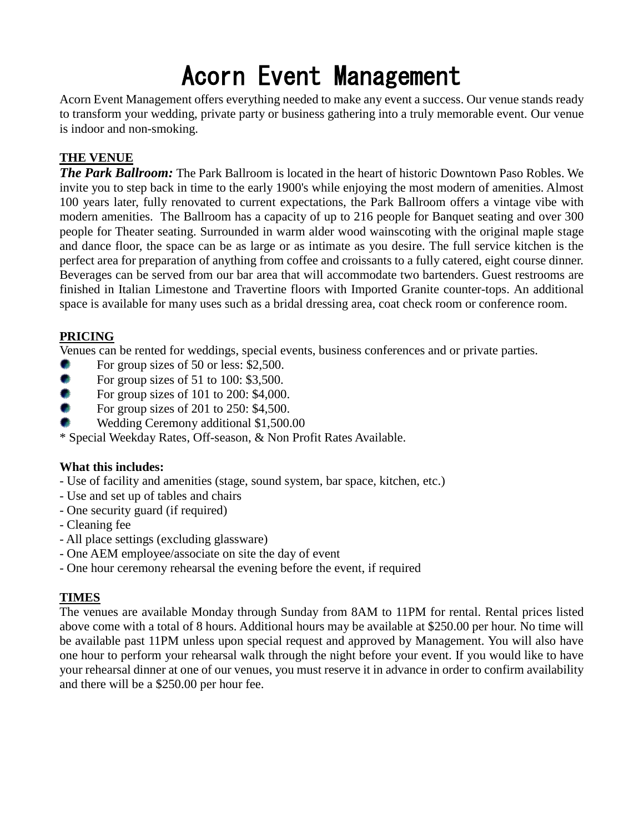# Acorn Event Management

Acorn Event Management offers everything needed to make any event a success. Our venue stands ready to transform your wedding, private party or business gathering into a truly memorable event. Our venue is indoor and non-smoking.

# **THE VENUE**

*The Park Ballroom:* The Park Ballroom is located in the heart of historic Downtown Paso Robles. We invite you to step back in time to the early 1900's while enjoying the most modern of amenities. Almost 100 years later, fully renovated to current expectations, the Park Ballroom offers a vintage vibe with modern amenities. The Ballroom has a capacity of up to 216 people for Banquet seating and over 300 people for Theater seating. Surrounded in warm alder wood wainscoting with the original maple stage and dance floor, the space can be as large or as intimate as you desire. The full service kitchen is the perfect area for preparation of anything from coffee and croissants to a fully catered, eight course dinner. Beverages can be served from our bar area that will accommodate two bartenders. Guest restrooms are finished in Italian Limestone and Travertine floors with Imported Granite counter-tops. An additional space is available for many uses such as a bridal dressing area, coat check room or conference room.

# **PRICING**

Venues can be rented for weddings, special events, business conferences and or private parties.

- For group sizes of 50 or less: \$2,500. ۰
- For group sizes of 51 to 100: \$3,500. ۰
- ۰ For group sizes of 101 to 200: \$4,000.
- e. For group sizes of 201 to 250: \$4,500.
- Wedding Ceremony additional \$1,500.00

\* Special Weekday Rates, Off-season, & Non Profit Rates Available.

# **What this includes:**

- Use of facility and amenities (stage, sound system, bar space, kitchen, etc.)
- Use and set up of tables and chairs
- One security guard (if required)
- Cleaning fee
- All place settings (excluding glassware)
- One AEM employee/associate on site the day of event
- One hour ceremony rehearsal the evening before the event, if required

# **TIMES**

The venues are available Monday through Sunday from 8AM to 11PM for rental. Rental prices listed above come with a total of 8 hours. Additional hours may be available at \$250.00 per hour. No time will be available past 11PM unless upon special request and approved by Management. You will also have one hour to perform your rehearsal walk through the night before your event. If you would like to have your rehearsal dinner at one of our venues, you must reserve it in advance in order to confirm availability and there will be a \$250.00 per hour fee.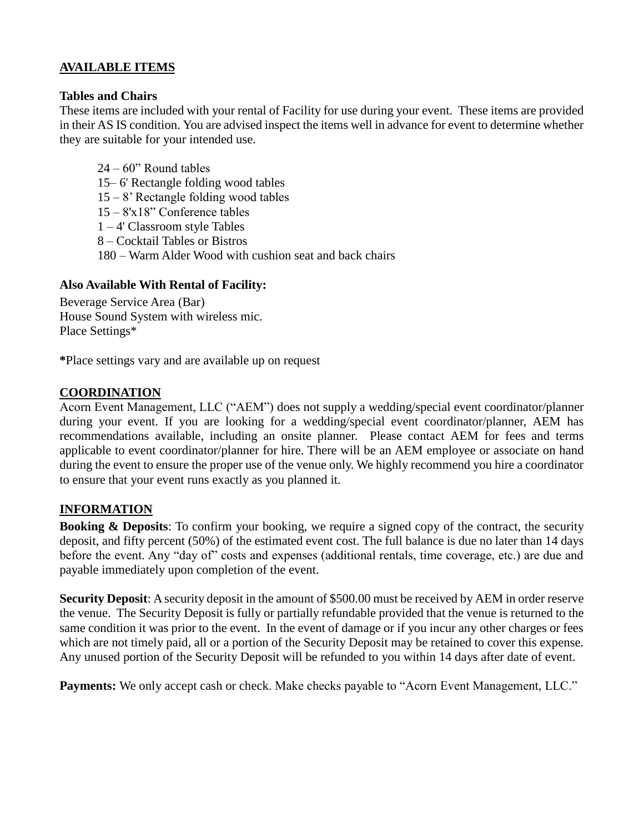# **AVAILABLE ITEMS**

#### **Tables and Chairs**

These items are included with your rental of Facility for use during your event. These items are provided in their AS IS condition. You are advised inspect the items well in advance for event to determine whether they are suitable for your intended use.

24 – 60" Round tables 15– 6' Rectangle folding wood tables 15 – 8' Rectangle folding wood tables 15 – 8'x18" Conference tables 1 – 4' Classroom style Tables 8 – Cocktail Tables or Bistros 180 – Warm Alder Wood with cushion seat and back chairs

# **Also Available With Rental of Facility:**

Beverage Service Area (Bar) House Sound System with wireless mic. Place Settings\*

**\***Place settings vary and are available up on request

#### **COORDINATION**

Acorn Event Management, LLC ("AEM") does not supply a wedding/special event coordinator/planner during your event. If you are looking for a wedding/special event coordinator/planner, AEM has recommendations available, including an onsite planner. Please contact AEM for fees and terms applicable to event coordinator/planner for hire. There will be an AEM employee or associate on hand during the event to ensure the proper use of the venue only. We highly recommend you hire a coordinator to ensure that your event runs exactly as you planned it.

#### **INFORMATION**

**Booking & Deposits**: To confirm your booking, we require a signed copy of the contract, the security deposit, and fifty percent (50%) of the estimated event cost. The full balance is due no later than 14 days before the event. Any "day of" costs and expenses (additional rentals, time coverage, etc.) are due and payable immediately upon completion of the event.

**Security Deposit**: A security deposit in the amount of \$500.00 must be received by AEM in order reserve the venue. The Security Deposit is fully or partially refundable provided that the venue is returned to the same condition it was prior to the event. In the event of damage or if you incur any other charges or fees which are not timely paid, all or a portion of the Security Deposit may be retained to cover this expense. Any unused portion of the Security Deposit will be refunded to you within 14 days after date of event.

Payments: We only accept cash or check. Make checks payable to "Acorn Event Management, LLC."